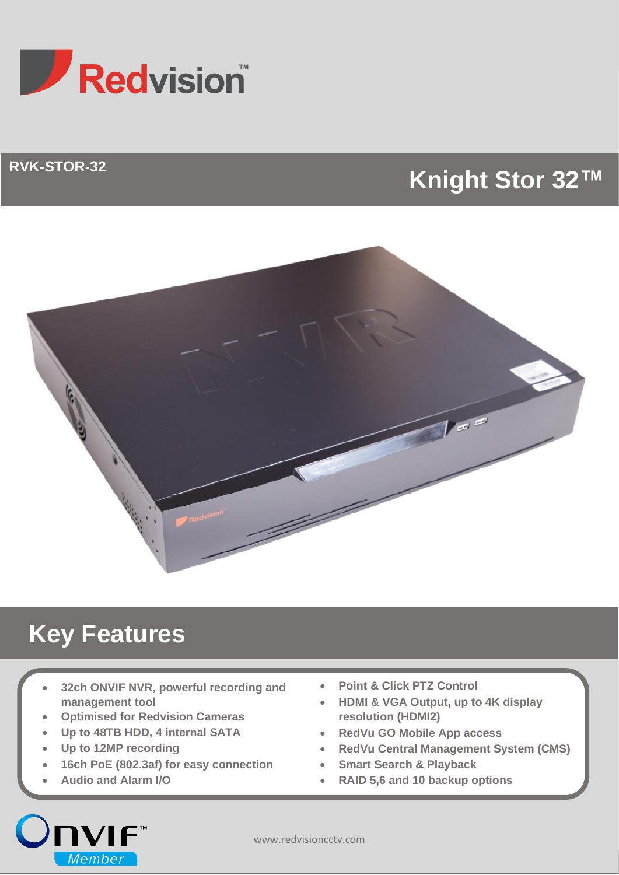

## **RVK-STOR-32**

# **Knight Stor 32™**



# **Key Features**

- **32ch ONVIF NVR, powerful recording and management tool**
- **Optimised for Redvision Cameras**
- **Up to 48TB HDD, 4 internal SATA**
- **Up to 12MP recording**
- **16ch PoE (802.3af) for easy connection**
- **Audio and Alarm I/O**

**JNVIF**™

Member

- **Point & Click PTZ Control**
- **HDMI & VGA Output, up to 4K display resolution (HDMI2)**
- **RedVu GO Mobile App access**
- **RedVu Central Management System (CMS)**
- **Smart Search & Playback**
- **RAID 5,6 and 10 backup options**

www.redvisioncctv.com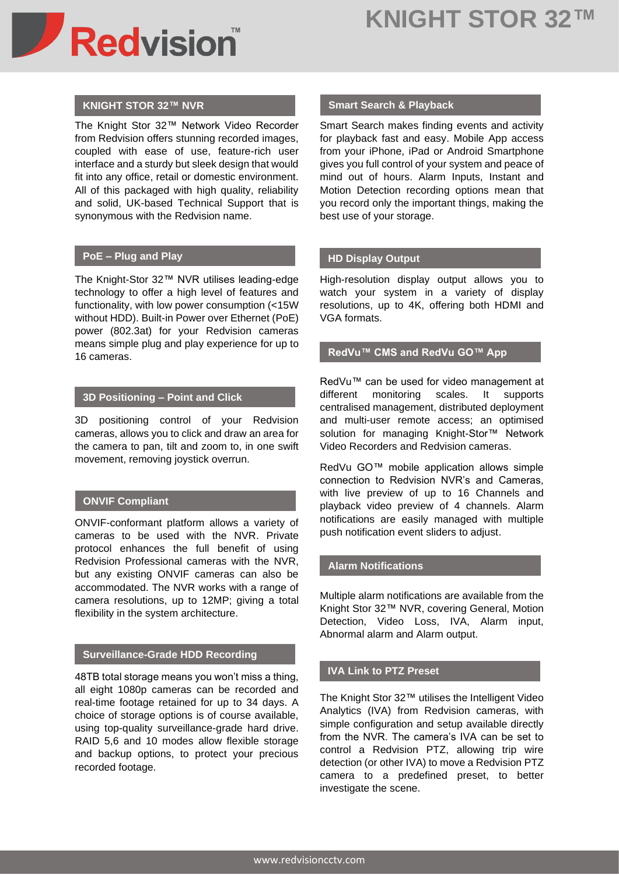

### **KNIGHT STOR 32™ NVR**

The Knight Stor 32™ Network Video Recorder from Redvision offers stunning recorded images, coupled with ease of use, feature-rich user interface and a sturdy but sleek design that would fit into any office, retail or domestic environment. All of this packaged with high quality, reliability and solid, UK-based Technical Support that is synonymous with the Redvision name.

### **PoE – Plug and Play**

The Knight-Stor 32™ NVR utilises leading-edge technology to offer a high level of features and functionality, with low power consumption (<15W without HDD). Built-in Power over Ethernet (PoE) power (802.3at) for your Redvision cameras means simple plug and play experience for up to 16 cameras.

#### **3D Positioning – Point and Click**

3D positioning control of your Redvision cameras, allows you to click and draw an area for the camera to pan, tilt and zoom to, in one swift movement, removing joystick overrun.

### **ONVIF Compliant**

ONVIF-conformant platform allows a variety of cameras to be used with the NVR. Private protocol enhances the full benefit of using Redvision Professional cameras with the NVR, but any existing ONVIF cameras can also be accommodated. The NVR works with a range of camera resolutions, up to 12MP; giving a total flexibility in the system architecture.

#### **Surveillance-Grade HDD Recording**

48TB total storage means you won't miss a thing, all eight 1080p cameras can be recorded and real-time footage retained for up to 34 days. A choice of storage options is of course available, using top-quality surveillance-grade hard drive. RAID 5,6 and 10 modes allow flexible storage and backup options, to protect your precious recorded footage.

#### **Smart Search & Playback**

Smart Search makes finding events and activity for playback fast and easy. Mobile App access from your iPhone, iPad or Android Smartphone gives you full control of your system and peace of mind out of hours. Alarm Inputs, Instant and Motion Detection recording options mean that you record only the important things, making the best use of your storage.

### **HD Display Output**

High-resolution display output allows you to watch your system in a variety of display resolutions, up to 4K, offering both HDMI and VGA formats.

#### **RedVu™ CMS and RedVu GO™ App**

RedVu™ can be used for video management at different monitoring scales. It supports centralised management, distributed deployment and multi-user remote access; an optimised solution for managing Knight-Stor™ Network Video Recorders and Redvision cameras.

RedVu GO™ mobile application allows simple connection to Redvision NVR's and Cameras, with live preview of up to 16 Channels and playback video preview of 4 channels. Alarm notifications are easily managed with multiple push notification event sliders to adjust.

#### **Alarm Notifications**

Multiple alarm notifications are available from the Knight Stor 32™ NVR, covering General, Motion Detection, Video Loss, IVA, Alarm input, Abnormal alarm and Alarm output.

#### **IVA Link to PTZ Preset**

The Knight Stor 32™ utilises the Intelligent Video Analytics (IVA) from Redvision cameras, with simple configuration and setup available directly from the NVR. The camera's IVA can be set to control a Redvision PTZ, allowing trip wire detection (or other IVA) to move a Redvision PTZ camera to a predefined preset, to better investigate the scene.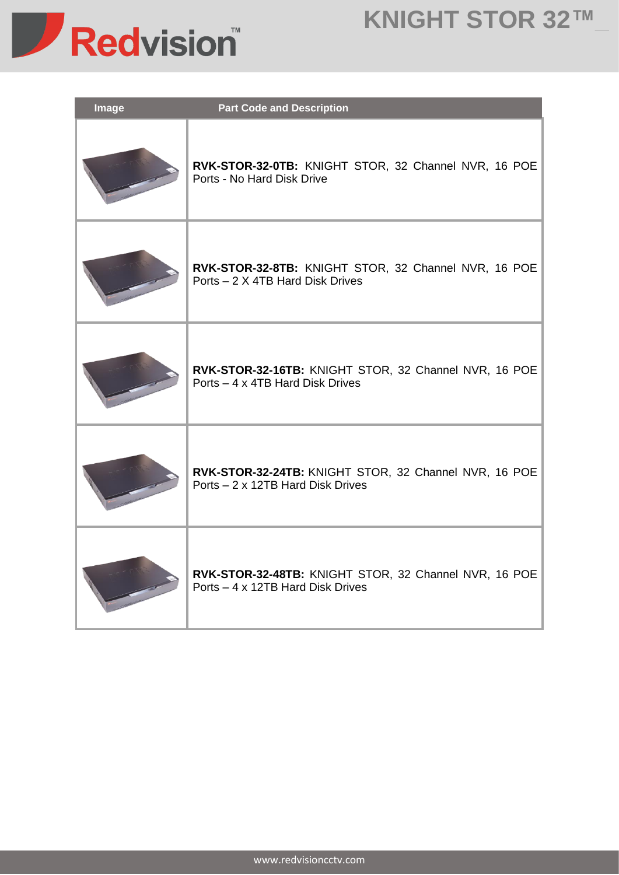# **KNIGHT STOR 32™\_**



| <b>Image</b> | <b>Part Code and Description</b>                                                           |
|--------------|--------------------------------------------------------------------------------------------|
|              | RVK-STOR-32-0TB: KNIGHT STOR, 32 Channel NVR, 16 POE<br>Ports - No Hard Disk Drive         |
|              | RVK-STOR-32-8TB: KNIGHT STOR, 32 Channel NVR, 16 POE<br>Ports - 2 X 4TB Hard Disk Drives   |
|              | RVK-STOR-32-16TB: KNIGHT STOR, 32 Channel NVR, 16 POE<br>Ports - 4 x 4TB Hard Disk Drives  |
|              | RVK-STOR-32-24TB: KNIGHT STOR, 32 Channel NVR, 16 POE<br>Ports - 2 x 12TB Hard Disk Drives |
|              | RVK-STOR-32-48TB: KNIGHT STOR, 32 Channel NVR, 16 POE<br>Ports – 4 x 12TB Hard Disk Drives |